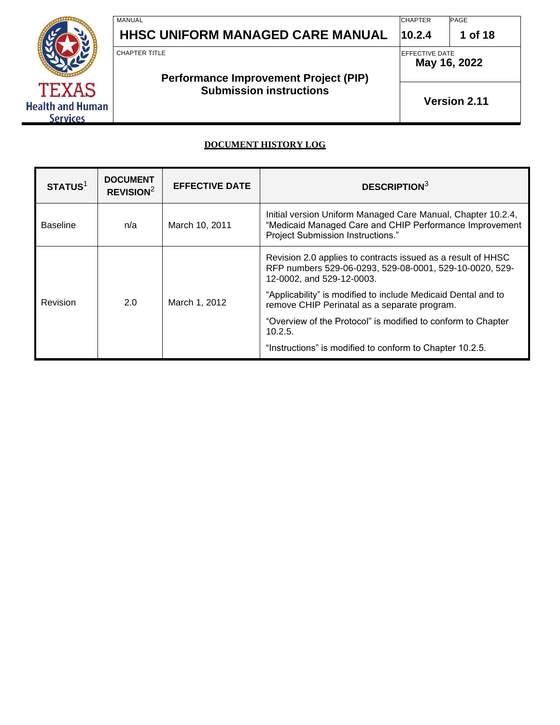|                                                            | MANUAL<br>HHSC UNIFORM MANAGED CARE MANUAL                           | <b>CHAPTER</b><br>10.2.4               | <b>PAGE</b><br>1 of 18 |
|------------------------------------------------------------|----------------------------------------------------------------------|----------------------------------------|------------------------|
|                                                            | <b>CHAPTER TITLE</b><br><b>Performance Improvement Project (PIP)</b> | <b>IEFFECTIVE DATE</b><br>May 16, 2022 |                        |
| <b>TEXAS</b><br><b>Health and Human</b><br><b>Services</b> | <b>Submission instructions</b>                                       |                                        | <b>Version 2.11</b>    |

#### **DOCUMENT HISTORY LOG**

| STATUS <sup>1</sup> | <b>DOCUMENT</b><br>REVISION <sup>2</sup> | <b>EFFECTIVE DATE</b> | <b>DESCRIPTION</b> <sup>3</sup>                                                                                                                              |
|---------------------|------------------------------------------|-----------------------|--------------------------------------------------------------------------------------------------------------------------------------------------------------|
| <b>Baseline</b>     | n/a                                      | March 10, 2011        | Initial version Uniform Managed Care Manual, Chapter 10.2.4,<br>"Medicaid Managed Care and CHIP Performance Improvement<br>Project Submission Instructions." |
|                     |                                          |                       | Revision 2.0 applies to contracts issued as a result of HHSC<br>RFP numbers 529-06-0293, 529-08-0001, 529-10-0020, 529-<br>12-0002, and 529-12-0003.         |
| Revision            | 2.0                                      | March 1, 2012         | "Applicability" is modified to include Medicaid Dental and to<br>remove CHIP Perinatal as a separate program.                                                |
|                     |                                          |                       | "Overview of the Protocol" is modified to conform to Chapter<br>10.2.5.                                                                                      |
|                     |                                          |                       | "Instructions" is modified to conform to Chapter 10.2.5.                                                                                                     |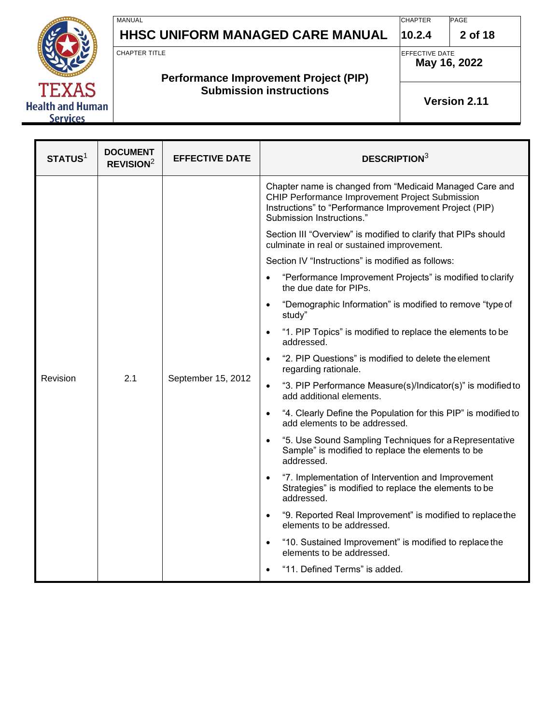

**TEXAS Health and Human** Services

# **HHSC UNIFORM MANAGED CARE MANUAL**

**2 of 18**

PAGE

CHAPTER TITLE

#### **Performance Improvement Project (PIP) Submission instructions**

EFFECTIVE DATE **May 16, 2022**

**CHAPTER 10.2.4**

**Version 2.11**

| STATUS <sup>1</sup> | <b>DOCUMENT</b><br>REVISION <sup>2</sup> | <b>EFFECTIVE DATE</b> | <b>DESCRIPTION3</b>                                                                                                                                                                                |                                                                                      |                                                                                                             |
|---------------------|------------------------------------------|-----------------------|----------------------------------------------------------------------------------------------------------------------------------------------------------------------------------------------------|--------------------------------------------------------------------------------------|-------------------------------------------------------------------------------------------------------------|
|                     |                                          |                       | Chapter name is changed from "Medicaid Managed Care and<br>CHIP Performance Improvement Project Submission<br>Instructions" to "Performance Improvement Project (PIP)<br>Submission Instructions." |                                                                                      |                                                                                                             |
|                     |                                          |                       | Section III "Overview" is modified to clarify that PIPs should<br>culminate in real or sustained improvement.                                                                                      |                                                                                      |                                                                                                             |
|                     |                                          |                       | Section IV "Instructions" is modified as follows:                                                                                                                                                  |                                                                                      |                                                                                                             |
|                     |                                          |                       | "Performance Improvement Projects" is modified to clarify<br>$\bullet$<br>the due date for PIPs.                                                                                                   |                                                                                      |                                                                                                             |
|                     | 2.1<br>Revision                          | September 15, 2012    | "Demographic Information" is modified to remove "type of<br>$\bullet$<br>study"                                                                                                                    |                                                                                      |                                                                                                             |
|                     |                                          |                       |                                                                                                                                                                                                    | "1. PIP Topics" is modified to replace the elements to be<br>$\bullet$<br>addressed. |                                                                                                             |
|                     |                                          |                       | "2. PIP Questions" is modified to delete the element<br>$\bullet$<br>regarding rationale.                                                                                                          |                                                                                      |                                                                                                             |
|                     |                                          |                       | "3. PIP Performance Measure(s)/Indicator(s)" is modified to<br>$\bullet$<br>add additional elements.                                                                                               |                                                                                      |                                                                                                             |
|                     |                                          |                       | "4. Clearly Define the Population for this PIP" is modified to<br>$\bullet$<br>add elements to be addressed.                                                                                       |                                                                                      |                                                                                                             |
|                     |                                          |                       | "5. Use Sound Sampling Techniques for a Representative<br>$\bullet$<br>Sample" is modified to replace the elements to be<br>addressed.                                                             |                                                                                      |                                                                                                             |
|                     |                                          |                       | $\bullet$<br>addressed.                                                                                                                                                                            |                                                                                      | "7. Implementation of Intervention and Improvement<br>Strategies" is modified to replace the elements to be |
|                     |                                          |                       | "9. Reported Real Improvement" is modified to replace the<br>$\bullet$<br>elements to be addressed.                                                                                                |                                                                                      |                                                                                                             |
|                     |                                          |                       | "10. Sustained Improvement" is modified to replace the<br>$\bullet$<br>elements to be addressed.                                                                                                   |                                                                                      |                                                                                                             |
|                     |                                          |                       | "11. Defined Terms" is added.<br>$\bullet$                                                                                                                                                         |                                                                                      |                                                                                                             |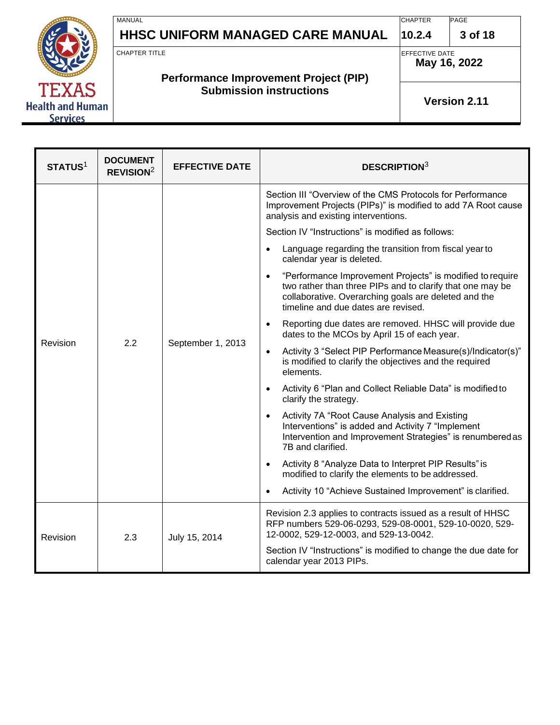

# **HHSC UNIFORM MANAGED CARE MANUAL**

PAGE **3 of 18**

CHAPTER TITLE

#### **Performance Improvement Project (PIP) Submission instructions**

EFFECTIVE DATE **May 16, 2022**

**CHAPTER 10.2.4**

**Version 2.11**

| STATUS <sup>1</sup> | <b>DOCUMENT</b><br>REVISION <sup>2</sup> | <b>EFFECTIVE DATE</b> | <b>DESCRIPTION3</b>                                                                                                                                                                                                                                                                                                                                                                                                                                                                                                                                                                                                                                                                                                                                                                                                                                                                                                                                                                                                                                                                                                                                                                                                                                                                                                                         |
|---------------------|------------------------------------------|-----------------------|---------------------------------------------------------------------------------------------------------------------------------------------------------------------------------------------------------------------------------------------------------------------------------------------------------------------------------------------------------------------------------------------------------------------------------------------------------------------------------------------------------------------------------------------------------------------------------------------------------------------------------------------------------------------------------------------------------------------------------------------------------------------------------------------------------------------------------------------------------------------------------------------------------------------------------------------------------------------------------------------------------------------------------------------------------------------------------------------------------------------------------------------------------------------------------------------------------------------------------------------------------------------------------------------------------------------------------------------|
| Revision            | 2.2                                      | September 1, 2013     | Section III "Overview of the CMS Protocols for Performance<br>Improvement Projects (PIPs)" is modified to add 7A Root cause<br>analysis and existing interventions.<br>Section IV "Instructions" is modified as follows:<br>Language regarding the transition from fiscal year to<br>$\bullet$<br>calendar year is deleted.<br>"Performance Improvement Projects" is modified to require<br>$\bullet$<br>two rather than three PIPs and to clarify that one may be<br>collaborative. Overarching goals are deleted and the<br>timeline and due dates are revised.<br>Reporting due dates are removed. HHSC will provide due<br>$\bullet$<br>dates to the MCOs by April 15 of each year.<br>Activity 3 "Select PIP Performance Measure(s)/Indicator(s)"<br>$\bullet$<br>is modified to clarify the objectives and the required<br>elements.<br>Activity 6 "Plan and Collect Reliable Data" is modified to<br>clarify the strategy.<br>Activity 7A "Root Cause Analysis and Existing<br>$\bullet$<br>Interventions" is added and Activity 7 "Implement<br>Intervention and Improvement Strategies" is renumbered as<br>7B and clarified.<br>Activity 8 "Analyze Data to Interpret PIP Results" is<br>$\bullet$<br>modified to clarify the elements to be addressed.<br>Activity 10 "Achieve Sustained Improvement" is clarified.<br>$\bullet$ |
| Revision            | 2.3                                      | July 15, 2014         | Revision 2.3 applies to contracts issued as a result of HHSC<br>RFP numbers 529-06-0293, 529-08-0001, 529-10-0020, 529-<br>12-0002, 529-12-0003, and 529-13-0042.<br>Section IV "Instructions" is modified to change the due date for<br>calendar year 2013 PIPs.                                                                                                                                                                                                                                                                                                                                                                                                                                                                                                                                                                                                                                                                                                                                                                                                                                                                                                                                                                                                                                                                           |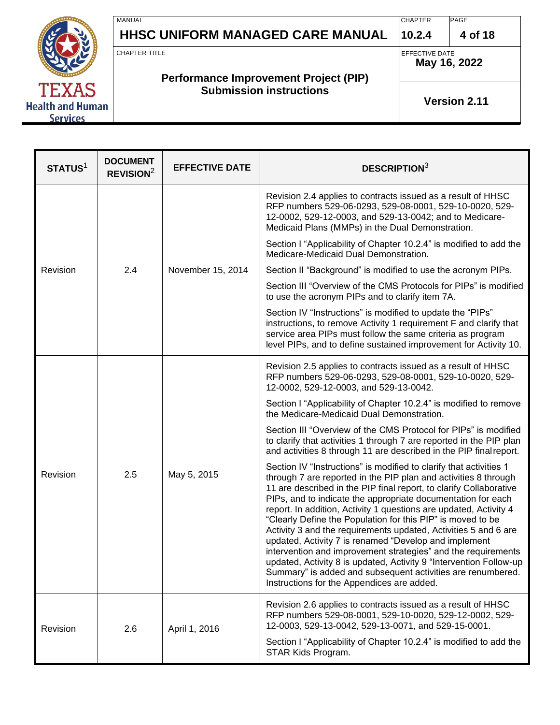| <b>CHAPTER TITLE</b><br><b>IEFFECTIVE DATE</b><br>May 16, 2022<br><b>Performance Improvement Project (PIP)</b><br><b>TEXAS</b><br><b>Submission instructions</b><br><b>Version 2.11</b> |                         | MANUAL<br><b>HHSC UNIFORM MANAGED CARE MANUAL</b> | <b>CHAPTER</b><br>10.2.4 | PAGE<br>4 of 18 |
|-----------------------------------------------------------------------------------------------------------------------------------------------------------------------------------------|-------------------------|---------------------------------------------------|--------------------------|-----------------|
|                                                                                                                                                                                         |                         |                                                   |                          |                 |
| <b>Services</b>                                                                                                                                                                         | <b>Health and Human</b> |                                                   |                          |                 |

| STATUS <sup>1</sup> | <b>DOCUMENT</b><br>REVISION <sup>2</sup> | <b>EFFECTIVE DATE</b>                                                                                                                                                                                                                                                                                                                                                                                                                                                                                                                                                                                                                                                                                                                                                                           | <b>DESCRIPTION3</b>                                                                                                                                                                                                                                               |
|---------------------|------------------------------------------|-------------------------------------------------------------------------------------------------------------------------------------------------------------------------------------------------------------------------------------------------------------------------------------------------------------------------------------------------------------------------------------------------------------------------------------------------------------------------------------------------------------------------------------------------------------------------------------------------------------------------------------------------------------------------------------------------------------------------------------------------------------------------------------------------|-------------------------------------------------------------------------------------------------------------------------------------------------------------------------------------------------------------------------------------------------------------------|
|                     |                                          |                                                                                                                                                                                                                                                                                                                                                                                                                                                                                                                                                                                                                                                                                                                                                                                                 | Revision 2.4 applies to contracts issued as a result of HHSC<br>RFP numbers 529-06-0293, 529-08-0001, 529-10-0020, 529-<br>12-0002, 529-12-0003, and 529-13-0042; and to Medicare-<br>Medicaid Plans (MMPs) in the Dual Demonstration.                            |
|                     |                                          |                                                                                                                                                                                                                                                                                                                                                                                                                                                                                                                                                                                                                                                                                                                                                                                                 | Section I "Applicability of Chapter 10.2.4" is modified to add the<br>Medicare-Medicaid Dual Demonstration.                                                                                                                                                       |
| Revision            | 2.4                                      | November 15, 2014                                                                                                                                                                                                                                                                                                                                                                                                                                                                                                                                                                                                                                                                                                                                                                               | Section II "Background" is modified to use the acronym PIPs.                                                                                                                                                                                                      |
|                     |                                          |                                                                                                                                                                                                                                                                                                                                                                                                                                                                                                                                                                                                                                                                                                                                                                                                 | Section III "Overview of the CMS Protocols for PIPs" is modified<br>to use the acronym PIPs and to clarify item 7A.                                                                                                                                               |
|                     |                                          |                                                                                                                                                                                                                                                                                                                                                                                                                                                                                                                                                                                                                                                                                                                                                                                                 | Section IV "Instructions" is modified to update the "PIPs"<br>instructions, to remove Activity 1 requirement F and clarify that<br>service area PIPs must follow the same criteria as program<br>level PIPs, and to define sustained improvement for Activity 10. |
|                     | 2.5<br>May 5, 2015                       |                                                                                                                                                                                                                                                                                                                                                                                                                                                                                                                                                                                                                                                                                                                                                                                                 | Revision 2.5 applies to contracts issued as a result of HHSC<br>RFP numbers 529-06-0293, 529-08-0001, 529-10-0020, 529-<br>12-0002, 529-12-0003, and 529-13-0042.                                                                                                 |
| Revision            |                                          |                                                                                                                                                                                                                                                                                                                                                                                                                                                                                                                                                                                                                                                                                                                                                                                                 | Section I "Applicability of Chapter 10.2.4" is modified to remove<br>the Medicare-Medicaid Dual Demonstration.                                                                                                                                                    |
|                     |                                          |                                                                                                                                                                                                                                                                                                                                                                                                                                                                                                                                                                                                                                                                                                                                                                                                 | Section III "Overview of the CMS Protocol for PIPs" is modified<br>to clarify that activities 1 through 7 are reported in the PIP plan<br>and activities 8 through 11 are described in the PIP final report.                                                      |
|                     |                                          | Section IV "Instructions" is modified to clarify that activities 1<br>through 7 are reported in the PIP plan and activities 8 through<br>11 are described in the PIP final report, to clarify Collaborative<br>PIPs, and to indicate the appropriate documentation for each<br>report. In addition, Activity 1 questions are updated, Activity 4<br>"Clearly Define the Population for this PIP" is moved to be<br>Activity 3 and the requirements updated, Activities 5 and 6 are<br>updated, Activity 7 is renamed "Develop and implement<br>intervention and improvement strategies" and the requirements<br>updated, Activity 8 is updated, Activity 9 "Intervention Follow-up<br>Summary" is added and subsequent activities are renumbered.<br>Instructions for the Appendices are added. |                                                                                                                                                                                                                                                                   |
| Revision            | 2.6                                      | April 1, 2016                                                                                                                                                                                                                                                                                                                                                                                                                                                                                                                                                                                                                                                                                                                                                                                   | Revision 2.6 applies to contracts issued as a result of HHSC<br>RFP numbers 529-08-0001, 529-10-0020, 529-12-0002, 529-<br>12-0003, 529-13-0042, 529-13-0071, and 529-15-0001.<br>Section I "Applicability of Chapter 10.2.4" is modified to add the              |
|                     |                                          |                                                                                                                                                                                                                                                                                                                                                                                                                                                                                                                                                                                                                                                                                                                                                                                                 | STAR Kids Program.                                                                                                                                                                                                                                                |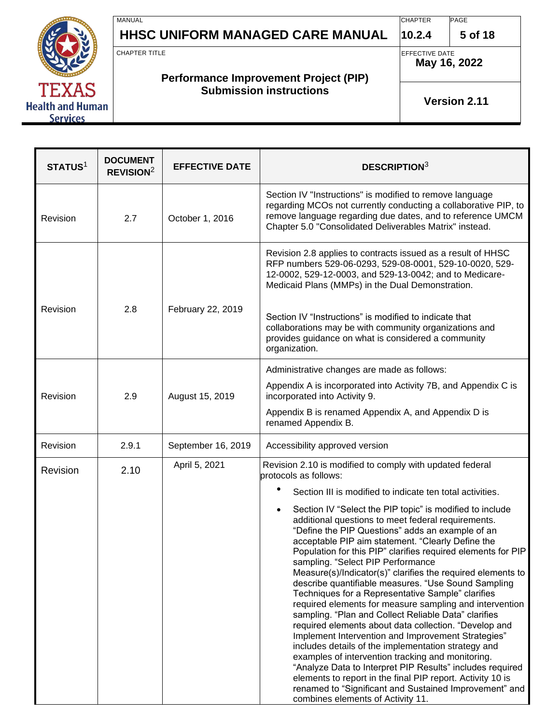

# **HHSC UNIFORM MANAGED CARE MANUAL**

PAGE **5 of 18**

CHAPTER TITLE

#### **Performance Improvement Project (PIP) Submission instructions**

EFFECTIVE DATE **May 16, 2022**

**CHAPTER 10.2.4**

**Version 2.11**

| STATUS <sup>1</sup> | <b>DOCUMENT</b><br>REVISION <sup>2</sup> | <b>EFFECTIVE DATE</b> | <b>DESCRIPTION3</b>                                                                                                                                                                                                                                                                                                                                                                                                                                                                                                                                                                                                                                                                                                                                   |  |
|---------------------|------------------------------------------|-----------------------|-------------------------------------------------------------------------------------------------------------------------------------------------------------------------------------------------------------------------------------------------------------------------------------------------------------------------------------------------------------------------------------------------------------------------------------------------------------------------------------------------------------------------------------------------------------------------------------------------------------------------------------------------------------------------------------------------------------------------------------------------------|--|
| Revision            | 2.7                                      | October 1, 2016       | Section IV "Instructions" is modified to remove language<br>regarding MCOs not currently conducting a collaborative PIP, to<br>remove language regarding due dates, and to reference UMCM<br>Chapter 5.0 "Consolidated Deliverables Matrix" instead.                                                                                                                                                                                                                                                                                                                                                                                                                                                                                                  |  |
| Revision            | 2.8                                      | February 22, 2019     | Revision 2.8 applies to contracts issued as a result of HHSC<br>RFP numbers 529-06-0293, 529-08-0001, 529-10-0020, 529-<br>12-0002, 529-12-0003, and 529-13-0042; and to Medicare-<br>Medicaid Plans (MMPs) in the Dual Demonstration.<br>Section IV "Instructions" is modified to indicate that<br>collaborations may be with community organizations and<br>provides guidance on what is considered a community                                                                                                                                                                                                                                                                                                                                     |  |
|                     |                                          |                       | organization.                                                                                                                                                                                                                                                                                                                                                                                                                                                                                                                                                                                                                                                                                                                                         |  |
| Revision            | 2.9                                      | August 15, 2019       | Administrative changes are made as follows:<br>Appendix A is incorporated into Activity 7B, and Appendix C is<br>incorporated into Activity 9.<br>Appendix B is renamed Appendix A, and Appendix D is<br>renamed Appendix B.                                                                                                                                                                                                                                                                                                                                                                                                                                                                                                                          |  |
| Revision            | 2.9.1                                    | September 16, 2019    | Accessibility approved version                                                                                                                                                                                                                                                                                                                                                                                                                                                                                                                                                                                                                                                                                                                        |  |
| Revision            | 2.10                                     | April 5, 2021         | Revision 2.10 is modified to comply with updated federal<br>protocols as follows:<br>Section III is modified to indicate ten total activities.<br>Section IV "Select the PIP topic" is modified to include<br>additional questions to meet federal requirements.<br>"Define the PIP Questions" adds an example of an<br>acceptable PIP aim statement. "Clearly Define the                                                                                                                                                                                                                                                                                                                                                                             |  |
|                     |                                          |                       | Population for this PIP" clarifies required elements for PIP<br>sampling. "Select PIP Performance<br>Measure(s)/Indicator(s)" clarifies the required elements to<br>describe quantifiable measures. "Use Sound Sampling<br>Techniques for a Representative Sample" clarifies<br>required elements for measure sampling and intervention<br>sampling. "Plan and Collect Reliable Data" clarifies<br>required elements about data collection. "Develop and<br>Implement Intervention and Improvement Strategies"<br>includes details of the implementation strategy and<br>examples of intervention tracking and monitoring.<br>"Analyze Data to Interpret PIP Results" includes required<br>elements to report in the final PIP report. Activity 10 is |  |
|                     |                                          |                       | renamed to "Significant and Sustained Improvement" and<br>combines elements of Activity 11.                                                                                                                                                                                                                                                                                                                                                                                                                                                                                                                                                                                                                                                           |  |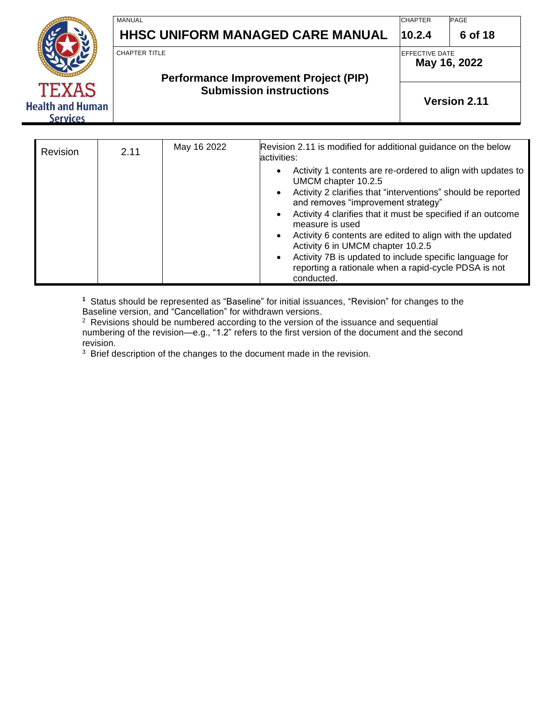|                                                            | MANUAL               |             | <b>HHSC UNIFORM MANAGED CARE MANUAL</b>                                                                                                                             | <b>CHAPTER</b><br>10.2.4 | <b>PAGE</b><br>6 of 18 |  |
|------------------------------------------------------------|----------------------|-------------|---------------------------------------------------------------------------------------------------------------------------------------------------------------------|--------------------------|------------------------|--|
|                                                            | <b>CHAPTER TITLE</b> |             | <b>Performance Improvement Project (PIP)</b>                                                                                                                        | IEFFECTIVE DATE          | May 16, 2022           |  |
| <b>TEXAS</b><br><b>Health and Human</b><br><b>Services</b> |                      |             | <b>Submission instructions</b>                                                                                                                                      |                          | <b>Version 2.11</b>    |  |
|                                                            |                      |             |                                                                                                                                                                     |                          |                        |  |
| Revision                                                   | 2.11                 | May 16 2022 | Revision 2.11 is modified for additional guidance on the below<br>activities:<br>Activity 1 contents are re-ordered to align with updates to<br>UMCM chapter 10.2.5 |                          |                        |  |
|                                                            |                      |             |                                                                                                                                                                     |                          |                        |  |

• Activity 2 clarifies that "interventions" should be reported

• Activity 4 clarifies that it must be specified if an outcome

• Activity 6 contents are edited to align with the updated

• Activity 7B is updated to include specific language for reporting a rationale when a rapid-cycle PDSA is not

and removes "improvement strategy"

Activity 6 in UMCM chapter 10.2.5

measure is used

conducted.

| <sup>1</sup> Status should be represented as "Baseline" for initial issuances, "Revision" for changes to the |  |
|--------------------------------------------------------------------------------------------------------------|--|
| Baseline version, and "Cancellation" for withdrawn versions.                                                 |  |

<sup>2</sup> Revisions should be numbered according to the version of the issuance and sequential numbering of the revision—e.g., "1.2" refers to the first version of the document and the second revision.

<sup>3</sup> Brief description of the changes to the document made in the revision.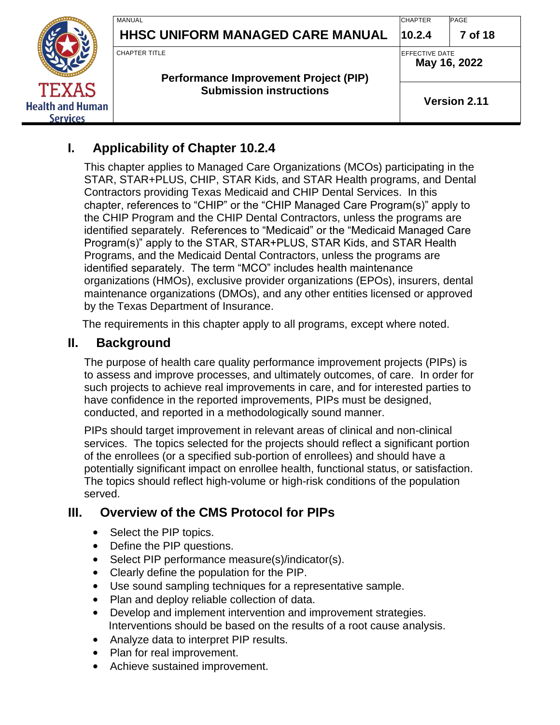|                                                            | MANUAL<br>HHSC UNIFORM MANAGED CARE MANUAL                    | <b>CHAPTER</b><br>10.2.4 | <b>PAGE</b><br>7 of 18                 |  |
|------------------------------------------------------------|---------------------------------------------------------------|--------------------------|----------------------------------------|--|
|                                                            | CHAPTER TITLE<br><b>Performance Improvement Project (PIP)</b> |                          | <b>IEFFECTIVE DATE</b><br>May 16, 2022 |  |
| <b>TEXAS</b><br><b>Health and Human</b><br><b>Services</b> | <b>Submission instructions</b>                                | <b>Version 2.11</b>      |                                        |  |

# **I. Applicability of Chapter 10.2.4**

This chapter applies to Managed Care Organizations (MCOs) participating in the STAR, STAR+PLUS, CHIP, STAR Kids, and STAR Health programs, and Dental Contractors providing Texas Medicaid and CHIP Dental Services. In this chapter, references to "CHIP" or the "CHIP Managed Care Program(s)" apply to the CHIP Program and the CHIP Dental Contractors, unless the programs are identified separately. References to "Medicaid" or the "Medicaid Managed Care Program(s)" apply to the STAR, STAR+PLUS, STAR Kids, and STAR Health Programs, and the Medicaid Dental Contractors, unless the programs are identified separately. The term "MCO" includes health maintenance organizations (HMOs), exclusive provider organizations (EPOs), insurers, dental maintenance organizations (DMOs), and any other entities licensed or approved by the Texas Department of Insurance.

The requirements in this chapter apply to all programs, except where noted.

# **II. Background**

The purpose of health care quality performance improvement projects (PIPs) is to assess and improve processes, and ultimately outcomes, of care. In order for such projects to achieve real improvements in care, and for interested parties to have confidence in the reported improvements, PIPs must be designed, conducted, and reported in a methodologically sound manner.

PIPs should target improvement in relevant areas of clinical and non-clinical services. The topics selected for the projects should reflect a significant portion of the enrollees (or a specified sub-portion of enrollees) and should have a potentially significant impact on enrollee health, functional status, or satisfaction. The topics should reflect high-volume or high-risk conditions of the population served.

# **III. Overview of the CMS Protocol for PIPs**

- Select the PIP topics.
- Define the PIP questions.
- Select PIP performance measure(s)/indicator(s).
- Clearly define the population for the PIP.
- Use sound sampling techniques for a representative sample.
- Plan and deploy reliable collection of data.
- Develop and implement intervention and improvement strategies. Interventions should be based on the results of a root cause analysis.
- Analyze data to interpret PIP results.
- Plan for real improvement.
- Achieve sustained improvement.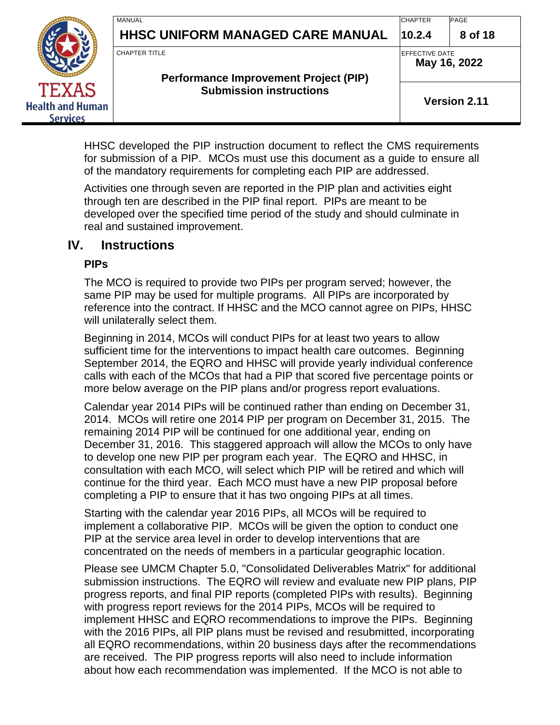|                                                            | MANUAL<br><b>HHSC UNIFORM MANAGED CARE MANUAL</b>                    | <b>CHAPTER</b><br>10.2.4               | <b>PAGE</b><br>8 of 18 |
|------------------------------------------------------------|----------------------------------------------------------------------|----------------------------------------|------------------------|
|                                                            | <b>CHAPTER TITLE</b><br><b>Performance Improvement Project (PIP)</b> | <b>IEFFECTIVE DATE</b><br>May 16, 2022 |                        |
| <b>TEXAS</b><br><b>Health and Human</b><br><b>Services</b> | <b>Submission instructions</b>                                       | <b>Version 2.11</b>                    |                        |

HHSC developed the PIP instruction document to reflect the CMS requirements for submission of a PIP. MCOs must use this document as a guide to ensure all of the mandatory requirements for completing each PIP are addressed.

Activities one through seven are reported in the PIP plan and activities eight through ten are described in the PIP final report. PIPs are meant to be developed over the specified time period of the study and should culminate in real and sustained improvement.

# **IV. Instructions**

#### **PIPs**

The MCO is required to provide two PIPs per program served; however, the same PIP may be used for multiple programs. All PIPs are incorporated by reference into the contract. If HHSC and the MCO cannot agree on PIPs, HHSC will unilaterally select them.

Beginning in 2014, MCOs will conduct PIPs for at least two years to allow sufficient time for the interventions to impact health care outcomes. Beginning September 2014, the EQRO and HHSC will provide yearly individual conference calls with each of the MCOs that had a PIP that scored five percentage points or more below average on the PIP plans and/or progress report evaluations.

Calendar year 2014 PIPs will be continued rather than ending on December 31, 2014. MCOs will retire one 2014 PIP per program on December 31, 2015. The remaining 2014 PIP will be continued for one additional year, ending on December 31, 2016. This staggered approach will allow the MCOs to only have to develop one new PIP per program each year. The EQRO and HHSC, in consultation with each MCO, will select which PIP will be retired and which will continue for the third year. Each MCO must have a new PIP proposal before completing a PIP to ensure that it has two ongoing PIPs at all times.

Starting with the calendar year 2016 PIPs, all MCOs will be required to implement a collaborative PIP. MCOs will be given the option to conduct one PIP at the service area level in order to develop interventions that are concentrated on the needs of members in a particular geographic location.

Please see UMCM Chapter 5.0, "Consolidated Deliverables Matrix" for additional submission instructions. The EQRO will review and evaluate new PIP plans, PIP progress reports, and final PIP reports (completed PIPs with results). Beginning with progress report reviews for the 2014 PIPs, MCOs will be required to implement HHSC and EQRO recommendations to improve the PIPs. Beginning with the 2016 PIPs, all PIP plans must be revised and resubmitted, incorporating all EQRO recommendations, within 20 business days after the recommendations are received. The PIP progress reports will also need to include information about how each recommendation was implemented. If the MCO is not able to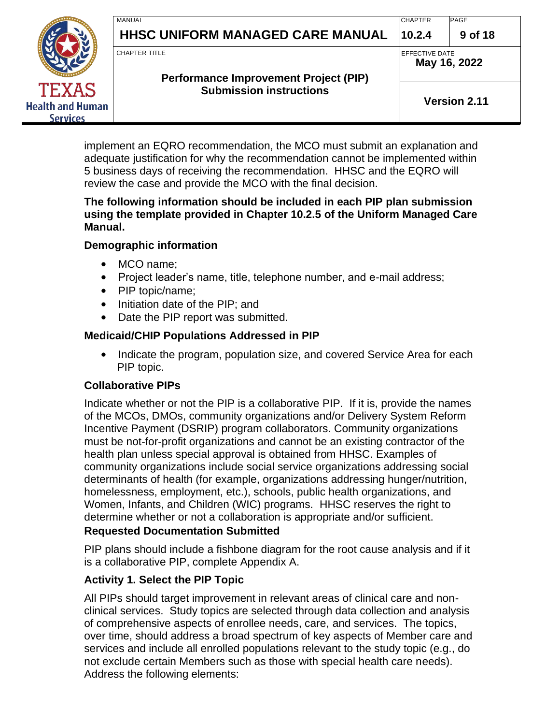|                                                            | <b>MANUAL</b><br><b>HHSC UNIFORM MANAGED CARE MANUAL</b>             | <b>CHAPTER</b><br>10.2.4               | <b>PAGE</b><br>9 of 18 |
|------------------------------------------------------------|----------------------------------------------------------------------|----------------------------------------|------------------------|
|                                                            | <b>CHAPTER TITLE</b><br><b>Performance Improvement Project (PIP)</b> | <b>IEFFECTIVE DATE</b><br>May 16, 2022 |                        |
| <b>TEXAS</b><br><b>Health and Human</b><br><b>Services</b> | <b>Submission instructions</b>                                       | <b>Version 2.11</b>                    |                        |

implement an EQRO recommendation, the MCO must submit an explanation and adequate justification for why the recommendation cannot be implemented within 5 business days of receiving the recommendation. HHSC and the EQRO will review the case and provide the MCO with the final decision.

#### **The following information should be included in each PIP plan submission using the template provided in Chapter 10.2.5 of the Uniform Managed Care Manual.**

#### **Demographic information**

- MCO name:
- Project leader's name, title, telephone number, and e-mail address;
- PIP topic/name;
- Initiation date of the PIP; and
- Date the PIP report was submitted.

#### **Medicaid/CHIP Populations Addressed in PIP**

• Indicate the program, population size, and covered Service Area for each PIP topic.

#### **Collaborative PIPs**

Indicate whether or not the PIP is a collaborative PIP. If it is, provide the names of the MCOs, DMOs, community organizations and/or Delivery System Reform Incentive Payment (DSRIP) program collaborators. Community organizations must be not-for-profit organizations and cannot be an existing contractor of the health plan unless special approval is obtained from HHSC. Examples of community organizations include social service organizations addressing social determinants of health (for example, organizations addressing hunger/nutrition, homelessness, employment, etc.), schools, public health organizations, and Women, Infants, and Children (WIC) programs. HHSC reserves the right to determine whether or not a collaboration is appropriate and/or sufficient.

#### **Requested Documentation Submitted**

PIP plans should include a fishbone diagram for the root cause analysis and if it is a collaborative PIP, complete Appendix A.

#### **Activity 1. Select the PIP Topic**

All PIPs should target improvement in relevant areas of clinical care and nonclinical services. Study topics are selected through data collection and analysis of comprehensive aspects of enrollee needs, care, and services. The topics, over time, should address a broad spectrum of key aspects of Member care and services and include all enrolled populations relevant to the study topic (e.g., do not exclude certain Members such as those with special health care needs). Address the following elements: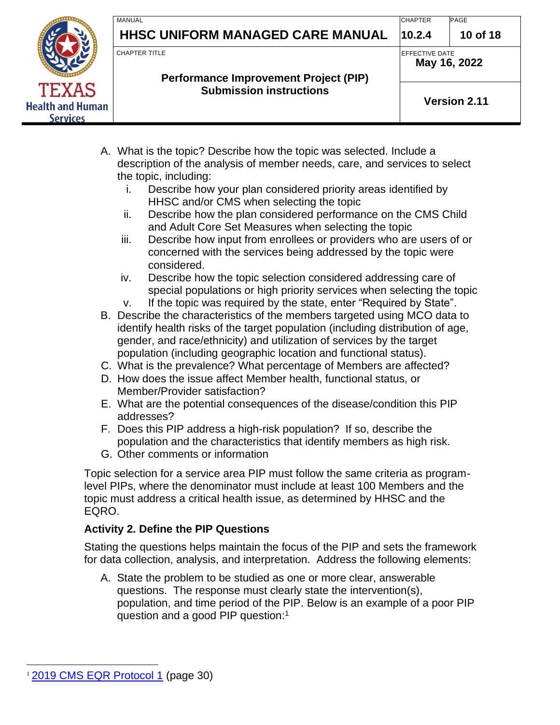|                                                            | MANUAL<br><b>HHSC UNIFORM MANAGED CARE MANUAL</b>             | <b>CHAPTER</b><br>10.2.4               | <b>PAGE</b><br>10 of 18 |
|------------------------------------------------------------|---------------------------------------------------------------|----------------------------------------|-------------------------|
|                                                            | CHAPTER TITLE<br><b>Performance Improvement Project (PIP)</b> | <b>IEFFECTIVE DATE</b><br>May 16, 2022 |                         |
| <b>TEXAS</b><br><b>Health and Human</b><br><b>Services</b> | <b>Submission instructions</b>                                |                                        | <b>Version 2.11</b>     |

- A. What is the topic? Describe how the topic was selected. Include a description of the analysis of member needs, care, and services to select the topic, including:
	- i. Describe how your plan considered priority areas identified by HHSC and/or CMS when selecting the topic
	- ii. Describe how the plan considered performance on the CMS Child and Adult Core Set Measures when selecting the topic
	- iii. Describe how input from enrollees or providers who are users of or concerned with the services being addressed by the topic were considered.
	- iv. Describe how the topic selection considered addressing care of special populations or high priority services when selecting the topic
	- v. If the topic was required by the state, enter "Required by State".
- B. Describe the characteristics of the members targeted using MCO data to identify health risks of the target population (including distribution of age, gender, and race/ethnicity) and utilization of services by the target population (including geographic location and functional status).
- C. What is the prevalence? What percentage of Members are affected?
- D. How does the issue affect Member health, functional status, or Member/Provider satisfaction?
- E. What are the potential consequences of the disease/condition this PIP addresses?
- F. Does this PIP address a high-risk population? If so, describe the population and the characteristics that identify members as high risk.
- G. Other comments or information

Topic selection for a service area PIP must follow the same criteria as programlevel PIPs, where the denominator must include at least 100 Members and the topic must address a critical health issue, as determined by HHSC and the EQRO.

# **Activity 2. Define the PIP Questions**

Stating the questions helps maintain the focus of the PIP and sets the framework for data collection, analysis, and interpretation. Address the following elements:

A. State the problem to be studied as one or more clear, answerable questions. The response must clearly state the intervention(s), population, and time period of the PIP. Below is an example of a poor PIP question and a good PIP question:<sup>1</sup>

<sup>1</sup> [2019 CMS EQR Protocol 1](https://www.medicaid.gov/medicaid/quality-of-care/downloads/2019-eqr-protocols.pdf) (page 30)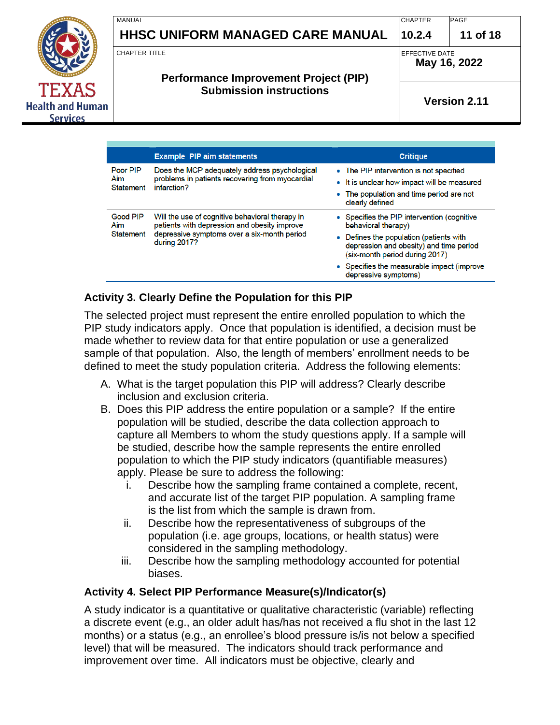

|                        | <b>Example PIP aim statements</b>                                                                | <b>Critique</b>                                                                                                    |
|------------------------|--------------------------------------------------------------------------------------------------|--------------------------------------------------------------------------------------------------------------------|
| Poor PIP<br>Aim        | Does the MCP adequately address psychological<br>problems in patients recovering from myocardial | • The PIP intervention is not specified                                                                            |
| <b>Statement</b>       | infarction?                                                                                      | • It is unclear how impact will be measured                                                                        |
|                        |                                                                                                  | • The population and time period are not<br>clearly defined                                                        |
| Good PIP<br><b>Aim</b> | Will the use of cognitive behavioral therapy in<br>patients with depression and obesity improve  | Specifies the PIP intervention (cognitive<br>behavioral therapy)                                                   |
| <b>Statement</b>       | depressive symptoms over a six-month period<br>during 2017?                                      | Defines the population (patients with<br>depression and obesity) and time period<br>(six-month period during 2017) |
|                        |                                                                                                  | • Specifies the measurable impact (improve<br>depressive symptoms)                                                 |

### **Activity 3. Clearly Define the Population for this PIP**

The selected project must represent the entire enrolled population to which the PIP study indicators apply. Once that population is identified, a decision must be made whether to review data for that entire population or use a generalized sample of that population. Also, the length of members' enrollment needs to be defined to meet the study population criteria. Address the following elements:

- A. What is the target population this PIP will address? Clearly describe inclusion and exclusion criteria.
- B. Does this PIP address the entire population or a sample? If the entire population will be studied, describe the data collection approach to capture all Members to whom the study questions apply. If a sample will be studied, describe how the sample represents the entire enrolled population to which the PIP study indicators (quantifiable measures) apply. Please be sure to address the following:
	- i. Describe how the sampling frame contained a complete, recent, and accurate list of the target PIP population. A sampling frame is the list from which the sample is drawn from.
	- ii. Describe how the representativeness of subgroups of the population (i.e. age groups, locations, or health status) were considered in the sampling methodology.
	- iii. Describe how the sampling methodology accounted for potential biases.

#### **Activity 4. Select PIP Performance Measure(s)/Indicator(s)**

A study indicator is a quantitative or qualitative characteristic (variable) reflecting a discrete event (e.g., an older adult has/has not received a flu shot in the last 12 months) or a status (e.g., an enrollee's blood pressure is/is not below a specified level) that will be measured. The indicators should track performance and improvement over time. All indicators must be objective, clearly and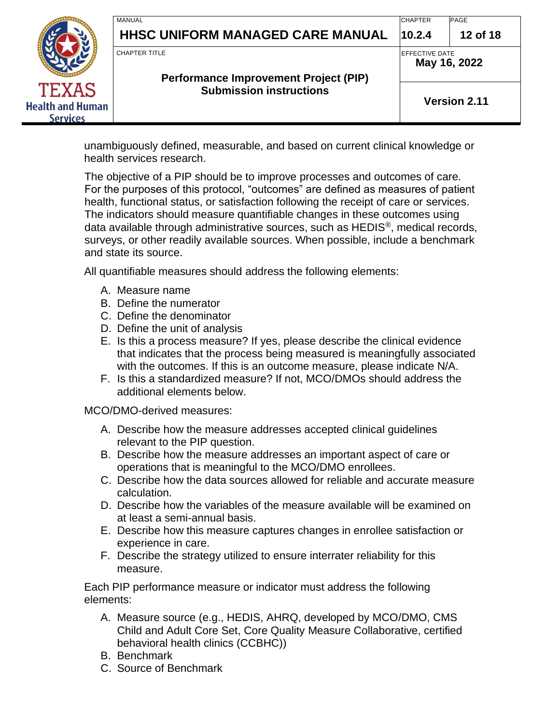|                                                     | MANUAL<br>HHSC UNIFORM MANAGED CARE MANUAL                    | <b>CHAPTER</b><br>10.2.4               | <b>PAGE</b><br>12 of 18 |
|-----------------------------------------------------|---------------------------------------------------------------|----------------------------------------|-------------------------|
|                                                     | CHAPTER TITLE<br><b>Performance Improvement Project (PIP)</b> | <b>IEFFECTIVE DATE</b><br>May 16, 2022 |                         |
| <b>TEXAS</b><br><b>Health and Human</b><br>Services | <b>Submission instructions</b>                                |                                        | <b>Version 2.11</b>     |

unambiguously defined, measurable, and based on current clinical knowledge or health services research.

The objective of a PIP should be to improve processes and outcomes of care. For the purposes of this protocol, "outcomes" are defined as measures of patient health, functional status, or satisfaction following the receipt of care or services. The indicators should measure quantifiable changes in these outcomes using data available through administrative sources, such as HEDIS®, medical records, surveys, or other readily available sources. When possible, include a benchmark and state its source.

All quantifiable measures should address the following elements:

- A. Measure name
- B. Define the numerator
- C. Define the denominator
- D. Define the unit of analysis
- E. Is this a process measure? If yes, please describe the clinical evidence that indicates that the process being measured is meaningfully associated with the outcomes. If this is an outcome measure, please indicate N/A.
- F. Is this a standardized measure? If not, MCO/DMOs should address the additional elements below.

MCO/DMO-derived measures:

- A. Describe how the measure addresses accepted clinical guidelines relevant to the PIP question.
- B. Describe how the measure addresses an important aspect of care or operations that is meaningful to the MCO/DMO enrollees.
- C. Describe how the data sources allowed for reliable and accurate measure calculation.
- D. Describe how the variables of the measure available will be examined on at least a semi-annual basis.
- E. Describe how this measure captures changes in enrollee satisfaction or experience in care.
- F. Describe the strategy utilized to ensure interrater reliability for this measure.

Each PIP performance measure or indicator must address the following elements:

- A. Measure source (e.g., HEDIS, AHRQ, developed by MCO/DMO, CMS Child and Adult Core Set, Core Quality Measure Collaborative, certified behavioral health clinics (CCBHC))
- B. Benchmark
- C. Source of Benchmark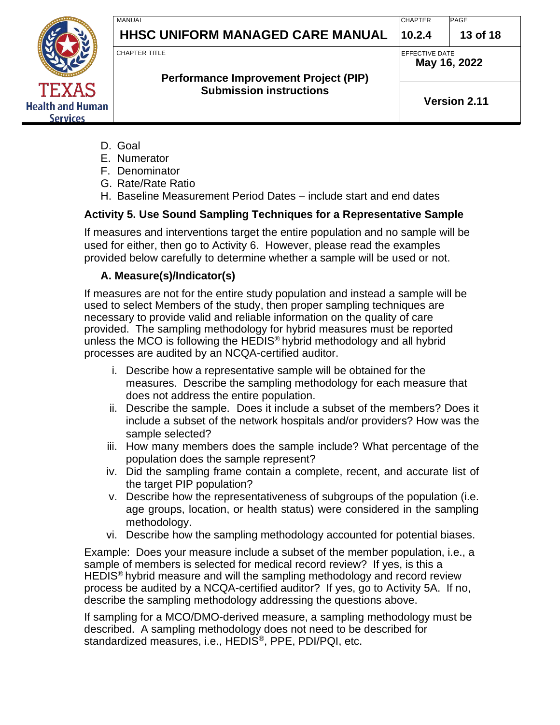|                                                            | MANUAL<br>HHSC UNIFORM MANAGED CARE MANUAL                                                             | <b>CHAPTER</b><br>10.2.4               | <b>PAGE</b><br>13 of 18 |
|------------------------------------------------------------|--------------------------------------------------------------------------------------------------------|----------------------------------------|-------------------------|
|                                                            | <b>CHAPTER TITLE</b><br><b>Performance Improvement Project (PIP)</b><br><b>Submission instructions</b> | <b>IEFFECTIVE DATE</b><br>May 16, 2022 |                         |
| <b>TEXAS</b><br><b>Health and Human</b><br><b>Services</b> |                                                                                                        |                                        | <b>Version 2.11</b>     |

- D. Goal
- E. Numerator
- F. Denominator
- G. Rate/Rate Ratio
- H. Baseline Measurement Period Dates include start and end dates

# **Activity 5. Use Sound Sampling Techniques for a Representative Sample**

If measures and interventions target the entire population and no sample will be used for either, then go to Activity 6. However, please read the examples provided below carefully to determine whether a sample will be used or not.

# **A. Measure(s)/Indicator(s)**

If measures are not for the entire study population and instead a sample will be used to select Members of the study, then proper sampling techniques are necessary to provide valid and reliable information on the quality of care provided. The sampling methodology for hybrid measures must be reported unless the MCO is following the HEDIS® hybrid methodology and all hybrid processes are audited by an NCQA-certified auditor.

- i. Describe how a representative sample will be obtained for the measures. Describe the sampling methodology for each measure that does not address the entire population.
- ii. Describe the sample. Does it include a subset of the members? Does it include a subset of the network hospitals and/or providers? How was the sample selected?
- iii. How many members does the sample include? What percentage of the population does the sample represent?
- iv. Did the sampling frame contain a complete, recent, and accurate list of the target PIP population?
- v. Describe how the representativeness of subgroups of the population (i.e. age groups, location, or health status) were considered in the sampling methodology.
- vi. Describe how the sampling methodology accounted for potential biases.

Example: Does your measure include a subset of the member population, i.e., a sample of members is selected for medical record review? If yes, is this a HEDIS<sup>®</sup> hybrid measure and will the sampling methodology and record review process be audited by a NCQA-certified auditor? If yes, go to Activity 5A. If no, describe the sampling methodology addressing the questions above.

If sampling for a MCO/DMO-derived measure, a sampling methodology must be described. A sampling methodology does not need to be described for standardized measures, i.e., HEDIS<sup>®</sup>, PPE, PDI/PQI, etc.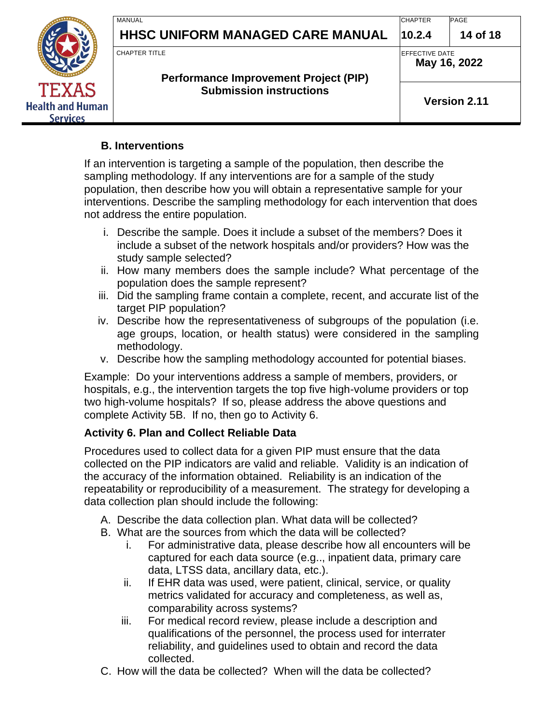|                                                            | MANUAL<br><b>HHSC UNIFORM MANAGED CARE MANUAL</b>                    | <b>CHAPTER</b><br>10.2.4               | <b>PAGE</b><br>14 of 18 |
|------------------------------------------------------------|----------------------------------------------------------------------|----------------------------------------|-------------------------|
|                                                            | <b>CHAPTER TITLE</b><br><b>Performance Improvement Project (PIP)</b> | <b>IEFFECTIVE DATE</b><br>May 16, 2022 |                         |
| <b>TEXAS</b><br><b>Health and Human</b><br><b>Services</b> | <b>Submission instructions</b>                                       |                                        | <b>Version 2.11</b>     |

#### **B. Interventions**

If an intervention is targeting a sample of the population, then describe the sampling methodology. If any interventions are for a sample of the study population, then describe how you will obtain a representative sample for your interventions. Describe the sampling methodology for each intervention that does not address the entire population.

- i. Describe the sample. Does it include a subset of the members? Does it include a subset of the network hospitals and/or providers? How was the study sample selected?
- ii. How many members does the sample include? What percentage of the population does the sample represent?
- iii. Did the sampling frame contain a complete, recent, and accurate list of the target PIP population?
- iv. Describe how the representativeness of subgroups of the population (i.e. age groups, location, or health status) were considered in the sampling methodology.
- v. Describe how the sampling methodology accounted for potential biases.

Example: Do your interventions address a sample of members, providers, or hospitals, e.g., the intervention targets the top five high-volume providers or top two high-volume hospitals? If so, please address the above questions and complete Activity 5B. If no, then go to Activity 6.

#### **Activity 6. Plan and Collect Reliable Data**

Procedures used to collect data for a given PIP must ensure that the data collected on the PIP indicators are valid and reliable. Validity is an indication of the accuracy of the information obtained. Reliability is an indication of the repeatability or reproducibility of a measurement. The strategy for developing a data collection plan should include the following:

- A. Describe the data collection plan. What data will be collected?
- B. What are the sources from which the data will be collected?
	- i. For administrative data, please describe how all encounters will be captured for each data source (e.g.., inpatient data, primary care data, LTSS data, ancillary data, etc.).
	- ii. If EHR data was used, were patient, clinical, service, or quality metrics validated for accuracy and completeness, as well as, comparability across systems?
	- iii. For medical record review, please include a description and qualifications of the personnel, the process used for interrater reliability, and guidelines used to obtain and record the data collected.
- C. How will the data be collected? When will the data be collected?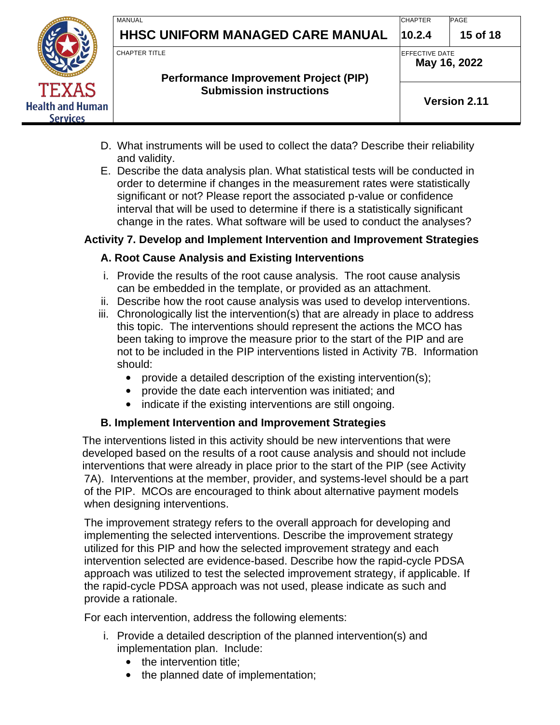|                                                            | MANUAL<br>HHSC UNIFORM MANAGED CARE MANUAL                           | <b>CHAPTER</b><br>10.2.4               | PAGE<br>15 of 18    |
|------------------------------------------------------------|----------------------------------------------------------------------|----------------------------------------|---------------------|
|                                                            | <b>CHAPTER TITLE</b><br><b>Performance Improvement Project (PIP)</b> | <b>IEFFECTIVE DATE</b><br>May 16, 2022 |                     |
| <b>TEXAS</b><br><b>Health and Human</b><br><b>Services</b> | <b>Submission instructions</b>                                       |                                        | <b>Version 2.11</b> |

- D. What instruments will be used to collect the data? Describe their reliability and validity.
- E. Describe the data analysis plan. What statistical tests will be conducted in order to determine if changes in the measurement rates were statistically significant or not? Please report the associated p-value or confidence interval that will be used to determine if there is a statistically significant change in the rates. What software will be used to conduct the analyses?

#### **Activity 7. Develop and Implement Intervention and Improvement Strategies**

#### **A. Root Cause Analysis and Existing Interventions**

- i. Provide the results of the root cause analysis. The root cause analysis can be embedded in the template, or provided as an attachment.
- ii. Describe how the root cause analysis was used to develop interventions.
- iii. Chronologically list the intervention(s) that are already in place to address this topic. The interventions should represent the actions the MCO has been taking to improve the measure prior to the start of the PIP and are not to be included in the PIP interventions listed in Activity 7B. Information should:
	- provide a detailed description of the existing intervention(s);
	- provide the date each intervention was initiated; and
	- indicate if the existing interventions are still ongoing.

#### **B. Implement Intervention and Improvement Strategies**

The interventions listed in this activity should be new interventions that were developed based on the results of a root cause analysis and should not include interventions that were already in place prior to the start of the PIP (see Activity 7A). Interventions at the member, provider, and systems-level should be a part of the PIP. MCOs are encouraged to think about alternative payment models when designing interventions.

The improvement strategy refers to the overall approach for developing and implementing the selected interventions. Describe the improvement strategy utilized for this PIP and how the selected improvement strategy and each intervention selected are evidence-based. Describe how the rapid-cycle PDSA approach was utilized to test the selected improvement strategy, if applicable. If the rapid-cycle PDSA approach was not used, please indicate as such and provide a rationale.

For each intervention, address the following elements:

- i. Provide a detailed description of the planned intervention(s) and implementation plan. Include:
	- the intervention title:
	- the planned date of implementation;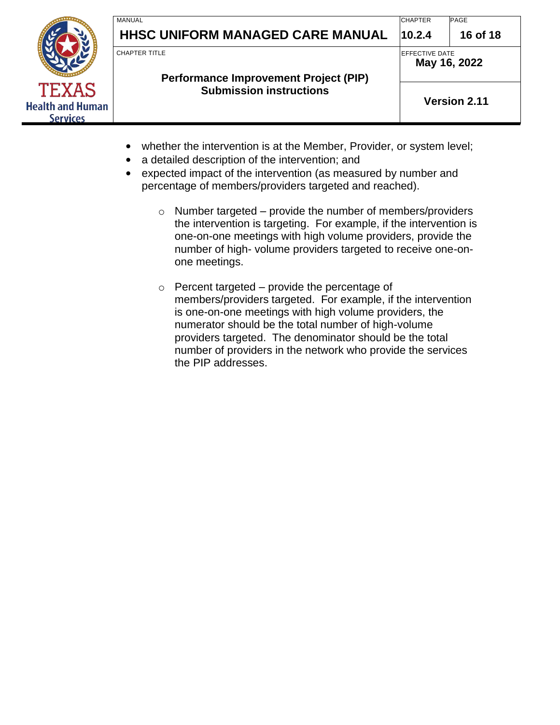|                                                            | MANUAL<br><b>HHSC UNIFORM MANAGED CARE MANUAL</b>                                                 | <b>CHAPTER</b><br>10.2.4               | <b>PAGE</b><br>16 of 18 |
|------------------------------------------------------------|---------------------------------------------------------------------------------------------------|----------------------------------------|-------------------------|
|                                                            | I CHAPTER TITLE<br><b>Performance Improvement Project (PIP)</b><br><b>Submission instructions</b> | <b>IEFFECTIVE DATE</b><br>May 16, 2022 |                         |
| <b>TEXAS</b><br><b>Health and Human</b><br><b>Services</b> |                                                                                                   |                                        | <b>Version 2.11</b>     |

- whether the intervention is at the Member, Provider, or system level;
- a detailed description of the intervention; and
- expected impact of the intervention (as measured by number and percentage of members/providers targeted and reached).
	- $\circ$  Number targeted provide the number of members/providers the intervention is targeting. For example, if the intervention is one-on-one meetings with high volume providers, provide the number of high- volume providers targeted to receive one-onone meetings.
	- $\circ$  Percent targeted provide the percentage of members/providers targeted. For example, if the intervention is one-on-one meetings with high volume providers, the numerator should be the total number of high-volume providers targeted. The denominator should be the total number of providers in the network who provide the services the PIP addresses.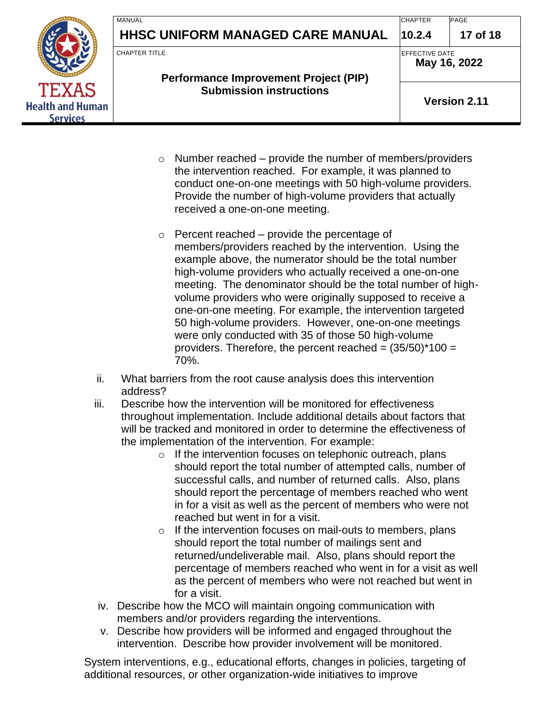|                                                            | MANUAL<br><b>HHSC UNIFORM MANAGED CARE MANUAL</b>                                                      | <b>CHAPTER</b><br>10.2.4               | <b>PAGE</b><br>17 of 18 |
|------------------------------------------------------------|--------------------------------------------------------------------------------------------------------|----------------------------------------|-------------------------|
|                                                            | <b>CHAPTER TITLE</b><br><b>Performance Improvement Project (PIP)</b><br><b>Submission instructions</b> | <b>IEFFECTIVE DATE</b><br>May 16, 2022 |                         |
| <b>TEXAS</b><br><b>Health and Human</b><br><b>Services</b> |                                                                                                        |                                        | <b>Version 2.11</b>     |

- $\circ$  Number reached provide the number of members/providers the intervention reached. For example, it was planned to conduct one-on-one meetings with 50 high-volume providers. Provide the number of high-volume providers that actually received a one-on-one meeting.
- $\circ$  Percent reached provide the percentage of members/providers reached by the intervention. Using the example above, the numerator should be the total number high-volume providers who actually received a one-on-one meeting. The denominator should be the total number of highvolume providers who were originally supposed to receive a one-on-one meeting. For example, the intervention targeted 50 high-volume providers. However, one-on-one meetings were only conducted with 35 of those 50 high-volume providers. Therefore, the percent reached =  $(35/50)*100 =$ 70%.
- ii. What barriers from the root cause analysis does this intervention address?
- iii. Describe how the intervention will be monitored for effectiveness throughout implementation. Include additional details about factors that will be tracked and monitored in order to determine the effectiveness of the implementation of the intervention. For example:
	- o If the intervention focuses on telephonic outreach, plans should report the total number of attempted calls, number of successful calls, and number of returned calls. Also, plans should report the percentage of members reached who went in for a visit as well as the percent of members who were not reached but went in for a visit.
	- $\circ$  If the intervention focuses on mail-outs to members, plans should report the total number of mailings sent and returned/undeliverable mail. Also, plans should report the percentage of members reached who went in for a visit as well as the percent of members who were not reached but went in for a visit.
- iv. Describe how the MCO will maintain ongoing communication with members and/or providers regarding the interventions.
- v. Describe how providers will be informed and engaged throughout the intervention. Describe how provider involvement will be monitored.

System interventions, e.g., educational efforts, changes in policies, targeting of additional resources, or other organization-wide initiatives to improve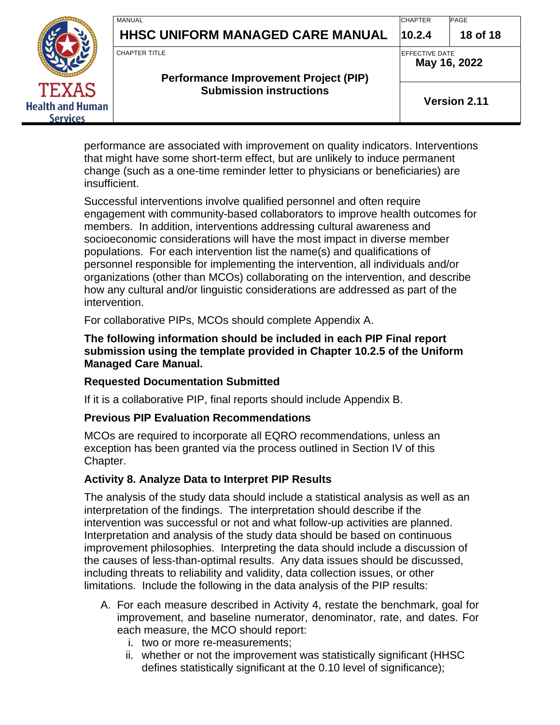|                                                            | MANUAL<br>HHSC UNIFORM MANAGED CARE MANUAL                                                             | <b>CHAPTER</b><br>10.2.4               | <b>PAGE</b><br>18 of 18 |
|------------------------------------------------------------|--------------------------------------------------------------------------------------------------------|----------------------------------------|-------------------------|
|                                                            | <b>CHAPTER TITLE</b><br><b>Performance Improvement Project (PIP)</b><br><b>Submission instructions</b> | <b>IEFFECTIVE DATE</b><br>May 16, 2022 |                         |
| <b>TEXAS</b><br><b>Health and Human</b><br><b>Services</b> |                                                                                                        |                                        | <b>Version 2.11</b>     |

performance are associated with improvement on quality indicators. Interventions that might have some short-term effect, but are unlikely to induce permanent change (such as a one-time reminder letter to physicians or beneficiaries) are insufficient.

Successful interventions involve qualified personnel and often require engagement with community-based collaborators to improve health outcomes for members. In addition, interventions addressing cultural awareness and socioeconomic considerations will have the most impact in diverse member populations. For each intervention list the name(s) and qualifications of personnel responsible for implementing the intervention, all individuals and/or organizations (other than MCOs) collaborating on the intervention, and describe how any cultural and/or linguistic considerations are addressed as part of the intervention.

For collaborative PIPs, MCOs should complete Appendix A.

**The following information should be included in each PIP Final report submission using the template provided in Chapter 10.2.5 of the Uniform Managed Care Manual.**

#### **Requested Documentation Submitted**

If it is a collaborative PIP, final reports should include Appendix B.

#### **Previous PIP Evaluation Recommendations**

MCOs are required to incorporate all EQRO recommendations, unless an exception has been granted via the process outlined in Section IV of this Chapter.

# **Activity 8. Analyze Data to Interpret PIP Results**

The analysis of the study data should include a statistical analysis as well as an interpretation of the findings. The interpretation should describe if the intervention was successful or not and what follow-up activities are planned. Interpretation and analysis of the study data should be based on continuous improvement philosophies. Interpreting the data should include a discussion of the causes of less-than-optimal results. Any data issues should be discussed, including threats to reliability and validity, data collection issues, or other limitations. Include the following in the data analysis of the PIP results:

- A. For each measure described in Activity 4, restate the benchmark, goal for improvement, and baseline numerator, denominator, rate, and dates. For each measure, the MCO should report:
	- i. two or more re-measurements;
	- ii. whether or not the improvement was statistically significant (HHSC defines statistically significant at the 0.10 level of significance);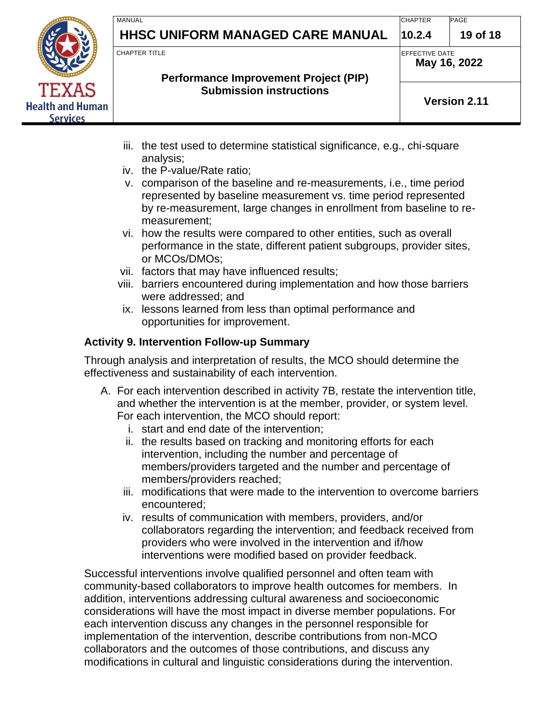|                                                            | MANUAL<br><b>HHSC UNIFORM MANAGED CARE MANUAL</b>                    | <b>CHAPTER</b><br>10.2.4               | <b>PAGE</b><br>19 of 18 |
|------------------------------------------------------------|----------------------------------------------------------------------|----------------------------------------|-------------------------|
|                                                            | <b>CHAPTER TITLE</b><br><b>Performance Improvement Project (PIP)</b> | <b>IEFFECTIVE DATE</b><br>May 16, 2022 |                         |
| <b>TEXAS</b><br><b>Health and Human</b><br><b>Services</b> | <b>Submission instructions</b>                                       |                                        | <b>Version 2.11</b>     |

- iii. the test used to determine statistical significance, e.g., chi-square analysis;
- iv. the P-value/Rate ratio;
- v. comparison of the baseline and re-measurements, i.e., time period represented by baseline measurement vs. time period represented by re-measurement, large changes in enrollment from baseline to remeasurement;
- vi. how the results were compared to other entities, such as overall performance in the state, different patient subgroups, provider sites, or MCOs/DMOs;
- vii. factors that may have influenced results;
- viii. barriers encountered during implementation and how those barriers were addressed; and
- ix. lessons learned from less than optimal performance and opportunities for improvement.

# **Activity 9. Intervention Follow-up Summary**

Through analysis and interpretation of results, the MCO should determine the effectiveness and sustainability of each intervention.

- A. For each intervention described in activity 7B, restate the intervention title, and whether the intervention is at the member, provider, or system level. For each intervention, the MCO should report:
	- i. start and end date of the intervention;
	- ii. the results based on tracking and monitoring efforts for each intervention, including the number and percentage of members/providers targeted and the number and percentage of members/providers reached;
	- iii. modifications that were made to the intervention to overcome barriers encountered;
	- iv. results of communication with members, providers, and/or collaborators regarding the intervention; and feedback received from providers who were involved in the intervention and if/how interventions were modified based on provider feedback.

Successful interventions involve qualified personnel and often team with community-based collaborators to improve health outcomes for members. In addition, interventions addressing cultural awareness and socioeconomic considerations will have the most impact in diverse member populations. For each intervention discuss any changes in the personnel responsible for implementation of the intervention, describe contributions from non-MCO collaborators and the outcomes of those contributions, and discuss any modifications in cultural and linguistic considerations during the intervention.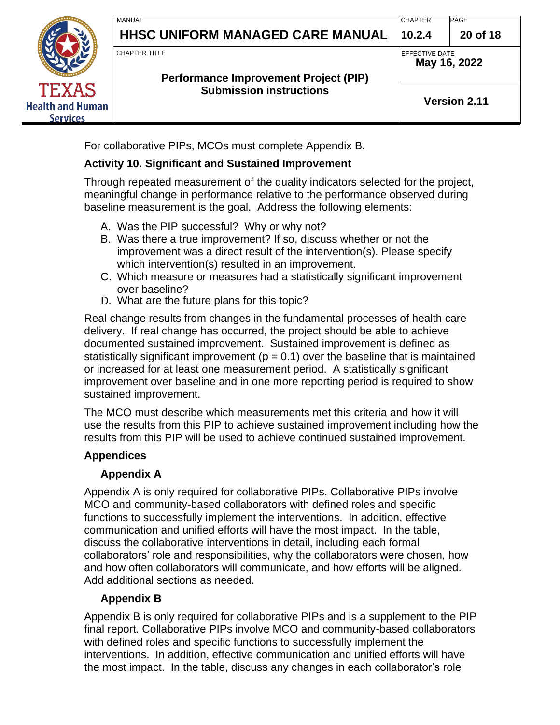|                                                            | MANUAL<br>HHSC UNIFORM MANAGED CARE MANUAL                           | <b>CHAPTER</b><br>10.2.4               | <b>PAGE</b><br>20 of 18 |
|------------------------------------------------------------|----------------------------------------------------------------------|----------------------------------------|-------------------------|
|                                                            | <b>CHAPTER TITLE</b><br><b>Performance Improvement Project (PIP)</b> | <b>IEFFECTIVE DATE</b><br>May 16, 2022 |                         |
| <b>TEXAS</b><br><b>Health and Human</b><br><b>Services</b> | <b>Submission instructions</b>                                       |                                        | <b>Version 2.11</b>     |

For collaborative PIPs, MCOs must complete Appendix B.

#### **Activity 10. Significant and Sustained Improvement**

Through repeated measurement of the quality indicators selected for the project, meaningful change in performance relative to the performance observed during baseline measurement is the goal. Address the following elements:

- A. Was the PIP successful? Why or why not?
- B. Was there a true improvement? If so, discuss whether or not the improvement was a direct result of the intervention(s). Please specify which intervention(s) resulted in an improvement.
- C. Which measure or measures had a statistically significant improvement over baseline?
- D. What are the future plans for this topic?

Real change results from changes in the fundamental processes of health care delivery. If real change has occurred, the project should be able to achieve documented sustained improvement. Sustained improvement is defined as statistically significant improvement ( $p = 0.1$ ) over the baseline that is maintained or increased for at least one measurement period. A statistically significant improvement over baseline and in one more reporting period is required to show sustained improvement.

The MCO must describe which measurements met this criteria and how it will use the results from this PIP to achieve sustained improvement including how the results from this PIP will be used to achieve continued sustained improvement.

#### **Appendices**

# **Appendix A**

Appendix A is only required for collaborative PIPs. Collaborative PIPs involve MCO and community-based collaborators with defined roles and specific functions to successfully implement the interventions. In addition, effective communication and unified efforts will have the most impact. In the table, discuss the collaborative interventions in detail, including each formal collaborators' role and responsibilities, why the collaborators were chosen, how and how often collaborators will communicate, and how efforts will be aligned. Add additional sections as needed.

# **Appendix B**

Appendix B is only required for collaborative PIPs and is a supplement to the PIP final report. Collaborative PIPs involve MCO and community-based collaborators with defined roles and specific functions to successfully implement the interventions. In addition, effective communication and unified efforts will have the most impact. In the table, discuss any changes in each collaborator's role